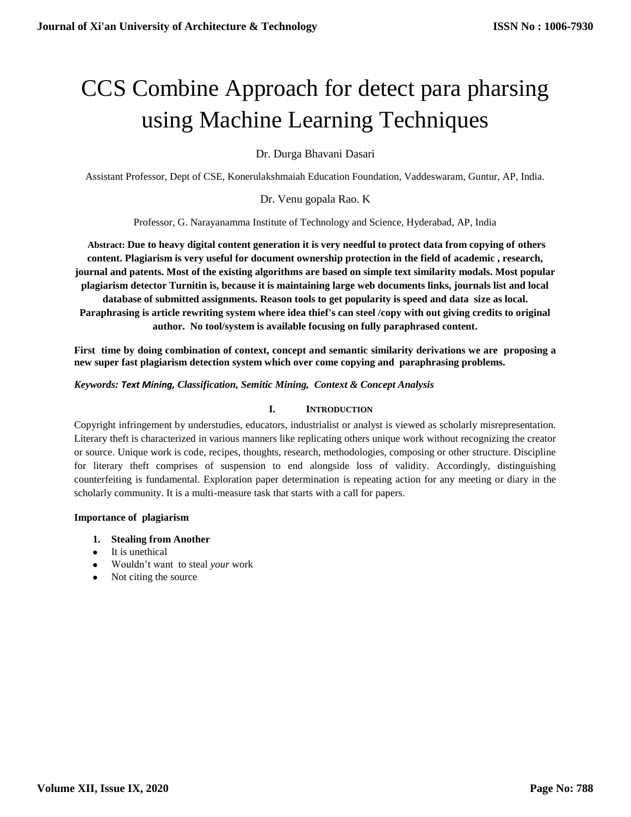# CCS Combine Approach for detect para pharsing using Machine Learning Techniques

Dr. Durga Bhavani Dasari

Assistant Professor, Dept of CSE, Konerulakshmaiah Education Foundation, Vaddeswaram, Guntur, AP, India.

Dr. Venu gopala Rao. K

Professor, G. Narayanamma Institute of Technology and Science, Hyderabad, AP, India

**Abstract: Due to heavy digital content generation it is very needful to protect data from copying of others content. Plagiarism is very useful for document ownership protection in the field of academic , research, journal and patents. Most of the existing algorithms are based on simple text similarity modals. Most popular plagiarism detector Turnitin is, because it is maintaining large web documents links, journals list and local database of submitted assignments. Reason tools to get popularity is speed and data size as local. Paraphrasing is article rewriting system where idea thief's can steel /copy with out giving credits to original author. No tool/system is available focusing on fully paraphrased content.** 

**First time by doing combination of context, concept and semantic similarity derivations we are proposing a new super fast plagiarism detection system which over come copying and paraphrasing problems.**

*Keywords: Text Mining, Classification, Semitic Mining, Context & Concept Analysis*

#### **I. INTRODUCTION**

Copyright infringement by understudies, educators, industrialist or analyst is viewed as scholarly misrepresentation. Literary theft is characterized in various manners like replicating others unique work without recognizing the creator or source. Unique work is code, recipes, thoughts, research, methodologies, composing or other structure. Discipline for literary theft comprises of suspension to end alongside loss of validity. Accordingly, distinguishing counterfeiting is fundamental. Exploration paper determination is repeating action for any meeting or diary in the scholarly community. It is a multi-measure task that starts with a call for papers.

#### **Importance of plagiarism**

- **1. Stealing from Another**
- It is unethical
- Wouldn't want to steal *your* work
- Not citing the source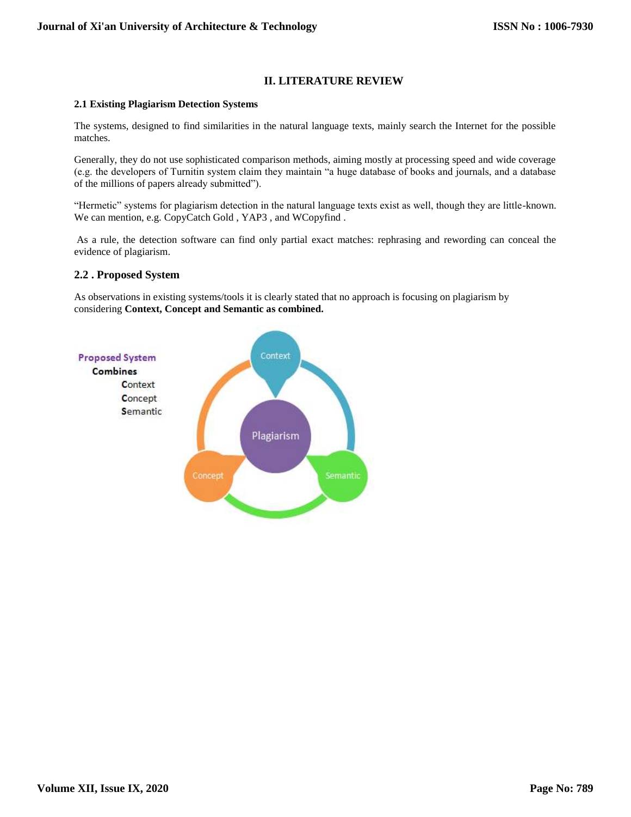# **II. LITERATURE REVIEW**

#### **2.1 Existing Plagiarism Detection Systems**

The systems, designed to find similarities in the natural language texts, mainly search the Internet for the possible matches.

Generally, they do not use sophisticated comparison methods, aiming mostly at processing speed and wide coverage (e.g. the developers of Turnitin system claim they maintain "a huge database of books and journals, and a database of the millions of papers already submitted").

"Hermetic" systems for plagiarism detection in the natural language texts exist as well, though they are little-known. We can mention, e.g. CopyCatch Gold , YAP3 , and WCopyfind .

As a rule, the detection software can find only partial exact matches: rephrasing and rewording can conceal the evidence of plagiarism.

#### **2.2 . Proposed System**

As observations in existing systems/tools it is clearly stated that no approach is focusing on plagiarism by considering **Context, Concept and Semantic as combined.**

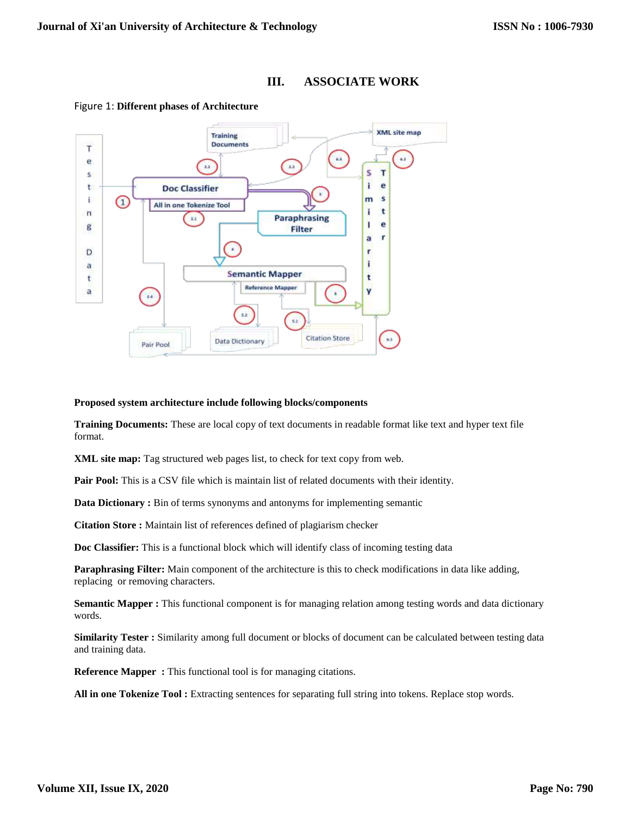



#### Figure 1: **Different phases of Architecture**

#### **Proposed system architecture include following blocks/components**

**Training Documents:** These are local copy of text documents in readable format like text and hyper text file format.

**XML site map:** Tag structured web pages list, to check for text copy from web.

**Pair Pool:** This is a CSV file which is maintain list of related documents with their identity.

**Data Dictionary :** Bin of terms synonyms and antonyms for implementing semantic

**Citation Store :** Maintain list of references defined of plagiarism checker

**Doc Classifier:** This is a functional block which will identify class of incoming testing data

**Paraphrasing Filter:** Main component of the architecture is this to check modifications in data like adding, replacing or removing characters.

**Semantic Mapper :** This functional component is for managing relation among testing words and data dictionary words.

**Similarity Tester :** Similarity among full document or blocks of document can be calculated between testing data and training data.

**Reference Mapper :** This functional tool is for managing citations.

**All in one Tokenize Tool :** Extracting sentences for separating full string into tokens. Replace stop words.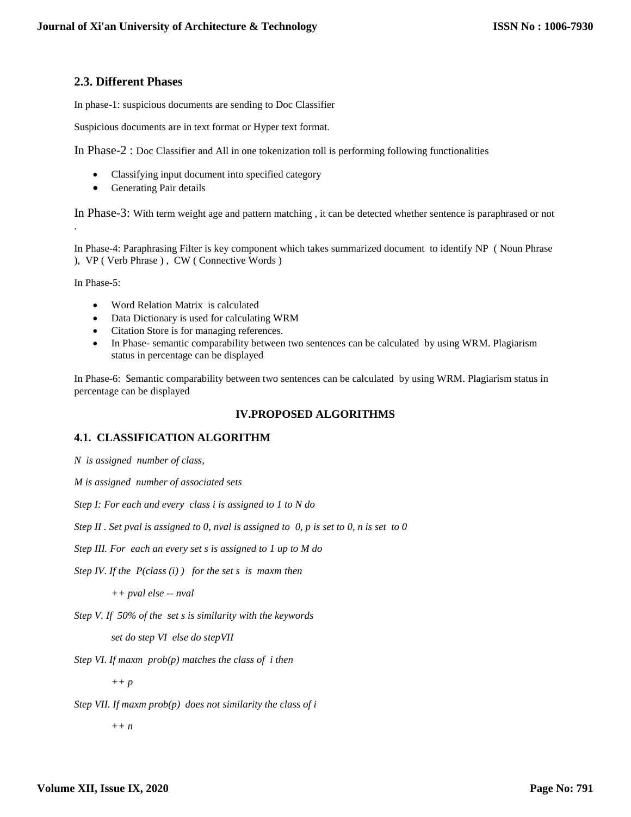# **2.3. Different Phases**

In phase-1: suspicious documents are sending to Doc Classifier

Suspicious documents are in text format or Hyper text format.

In Phase-2 : Doc Classifier and All in one tokenization toll is performing following functionalities

- Classifying input document into specified category
- Generating Pair details

In Phase-3: With term weight age and pattern matching , it can be detected whether sentence is paraphrased or not

In Phase-4: Paraphrasing Filter is key component which takes summarized document to identify NP ( Noun Phrase ), VP ( Verb Phrase ) , CW ( Connective Words )

In Phase-5:

.

- Word Relation Matrix is calculated
- Data Dictionary is used for calculating WRM
- Citation Store is for managing references.
- In Phase- semantic comparability between two sentences can be calculated by using WRM. Plagiarism status in percentage can be displayed

In Phase-6: Semantic comparability between two sentences can be calculated by using WRM. Plagiarism status in percentage can be displayed

# **IV.PROPOSED ALGORITHMS**

# **4.1. CLASSIFICATION ALGORITHM**

*N is assigned number of class,*

*M is assigned number of associated sets*

*Step I: For each and every class i is assigned to 1 to N do*

*Step II . Set pval is assigned to 0, nval is assigned to 0, p is set to 0, n is set to 0*

*Step III. For each an every set s is assigned to 1 up to M do*

*Step IV. If the P(class (i) ) for the set s is maxm then*

*++ pval else -- nval* 

*Step V. If 50% of the set s is similarity with the keywords*

*set do step VI else do stepVII*

*Step VI. If maxm prob(p) matches the class of i then*

*++ p*

*Step VII. If maxm prob(p) does not similarity the class of i*

*++ n*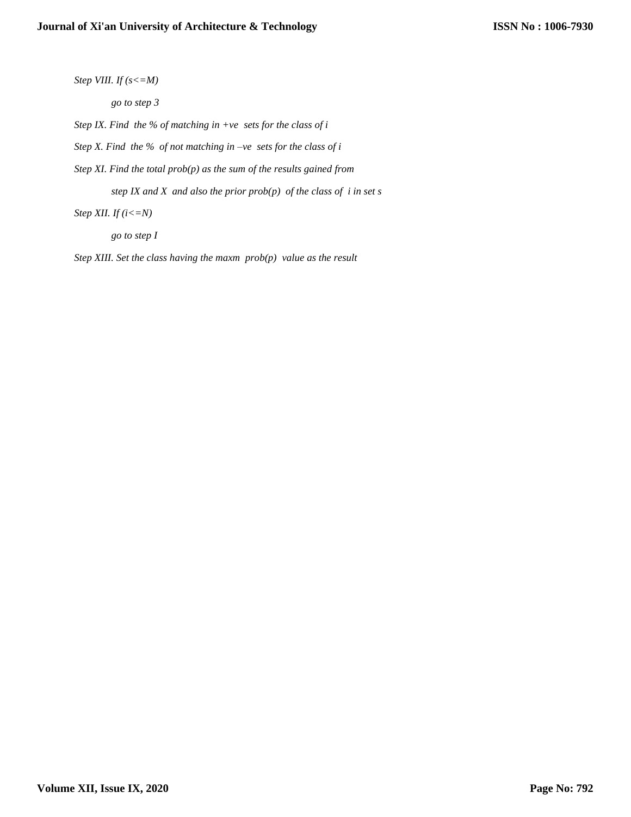*Step VIII. If (s<=M)*

*go to step 3*

*Step IX. Find the % of matching in +ve sets for the class of i* 

*Step X. Find the % of not matching in –ve sets for the class of i* 

*Step XI. Find the total prob(p) as the sum of the results gained from*

*step IX and X and also the prior prob(p) of the class of i in set s*

*Step XII. If (i<=N)*

*go to step I*

*Step XIII. Set the class having the maxm prob(p) value as the result*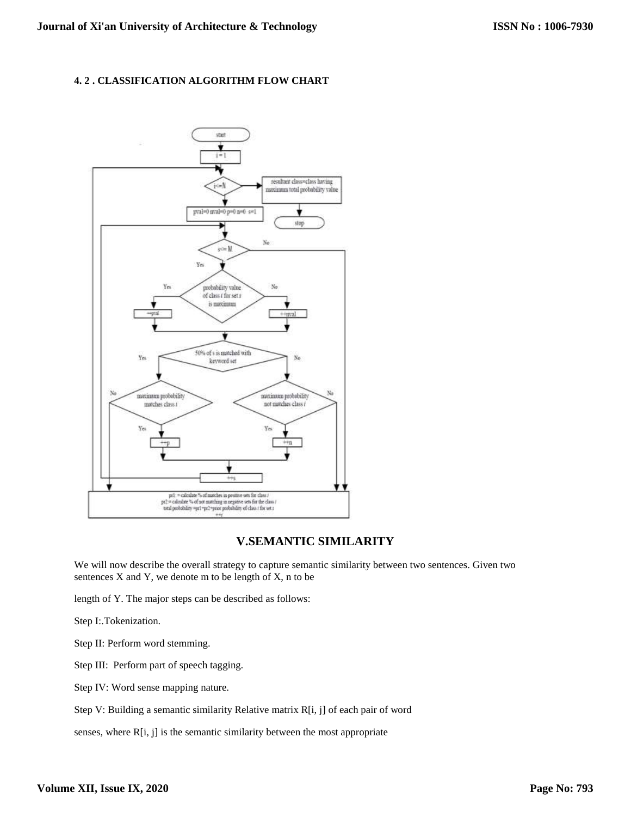## **4. 2 . CLASSIFICATION ALGORITHM FLOW CHART**



# **V.SEMANTIC SIMILARITY**

We will now describe the overall strategy to capture semantic similarity between two sentences. Given two sentences  $X$  and  $Y$ , we denote  $m$  to be length of  $X$ ,  $n$  to be

length of Y. The major steps can be described as follows:

Step I:.Tokenization.

Step II: Perform word stemming.

Step III: Perform part of speech tagging.

Step IV: Word sense mapping nature.

Step V: Building a semantic similarity Relative matrix R[i, j] of each pair of word

senses, where R[i, j] is the semantic similarity between the most appropriate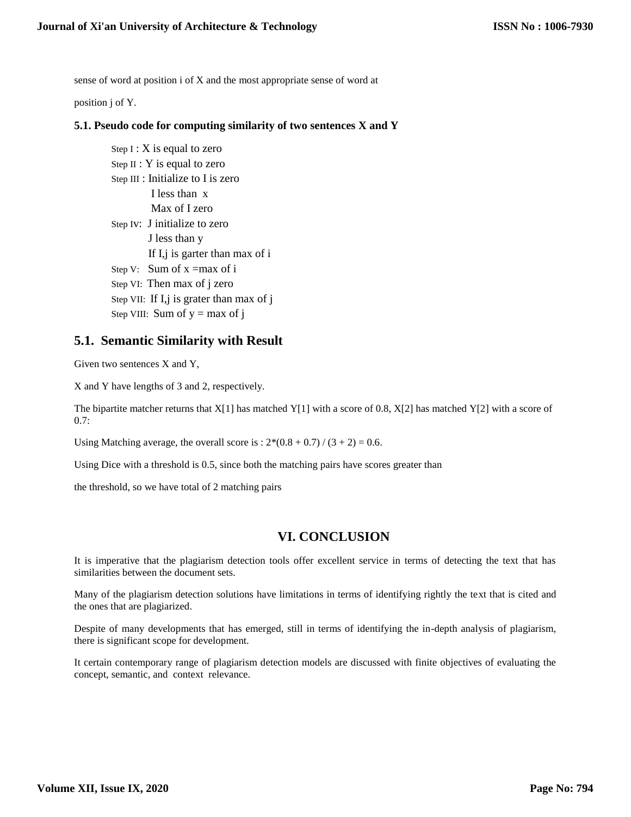sense of word at position i of X and the most appropriate sense of word at

position j of Y.

## **5.1. Pseudo code for computing similarity of two sentences X and Y**

Step  $I: X$  is equal to zero Step II : Y is equal to zero Step III : Initialize to I is zero I less than x Max of I zero Step Iv: J initialize to zero J less than y If I,j is garter than max of i Step V: Sum of  $x = max of i$ Step VI: Then max of j zero Step VII: If I,j is grater than max of j Step VIII: Sum of  $y = max of j$ 

# **5.1. Semantic Similarity with Result**

Given two sentences X and Y,

X and Y have lengths of 3 and 2, respectively.

The bipartite matcher returns that  $X[1]$  has matched Y[1] with a score of 0.8,  $X[2]$  has matched Y[2] with a score of 0.7:

Using Matching average, the overall score is :  $2*(0.8 + 0.7) / (3 + 2) = 0.6$ .

Using Dice with a threshold is 0.5, since both the matching pairs have scores greater than

the threshold, so we have total of 2 matching pairs

# **VI. CONCLUSION**

It is imperative that the plagiarism detection tools offer excellent service in terms of detecting the text that has similarities between the document sets.

Many of the plagiarism detection solutions have limitations in terms of identifying rightly the text that is cited and the ones that are plagiarized.

Despite of many developments that has emerged, still in terms of identifying the in-depth analysis of plagiarism, there is significant scope for development.

It certain contemporary range of plagiarism detection models are discussed with finite objectives of evaluating the concept, semantic, and context relevance.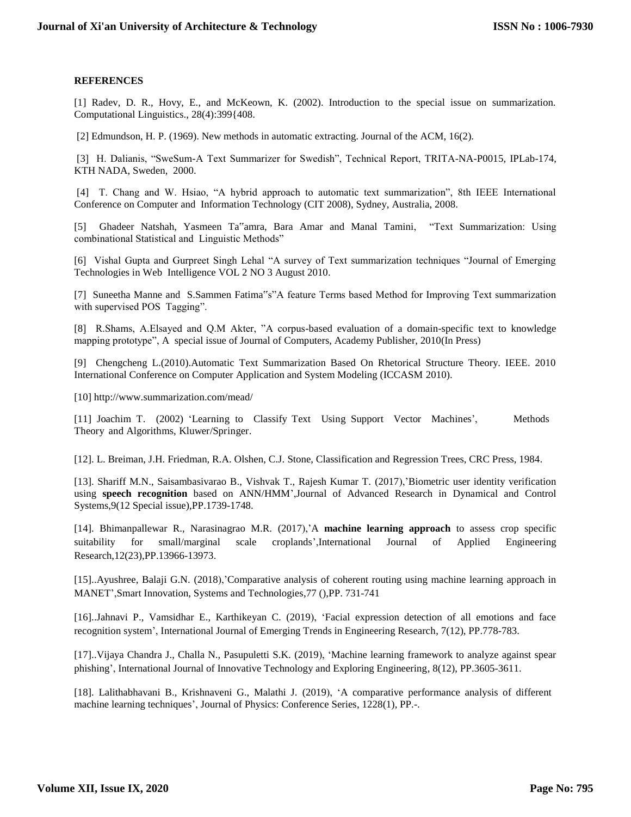#### **REFERENCES**

[1] Radev, D. R., Hovy, E., and McKeown, K. (2002). Introduction to the special issue on summarization. Computational Linguistics., 28(4):399{408.

[2] Edmundson, H. P. (1969). New methods in automatic extracting. Journal of the ACM, 16(2).

[3] H. Dalianis, "SweSum-A Text Summarizer for Swedish", Technical Report, TRITA-NA-P0015, IPLab-174, KTH NADA, Sweden, 2000.

[4] T. Chang and W. Hsiao, "A hybrid approach to automatic text summarization", 8th IEEE International Conference on Computer and Information Technology (CIT 2008), Sydney, Australia, 2008.

[5] Ghadeer Natshah, Yasmeen Ta"amra, Bara Amar and Manal Tamini, "Text Summarization: Using combinational Statistical and Linguistic Methods"

[6] Vishal Gupta and Gurpreet Singh Lehal "A survey of Text summarization techniques "Journal of Emerging Technologies in Web Intelligence VOL 2 NO 3 August 2010.

[7] Suneetha Manne and S.Sammen Fatima"s"A feature Terms based Method for Improving Text summarization with supervised POS Tagging".

[8] R.Shams, A.Elsayed and Q.M Akter, "A corpus-based evaluation of a domain-specific text to knowledge mapping prototype", A special issue of Journal of Computers, Academy Publisher, 2010(In Press)

[9] Chengcheng L.(2010).Automatic Text Summarization Based On Rhetorical Structure Theory. IEEE. 2010 International Conference on Computer Application and System Modeling (ICCASM 2010).

[10] http://www.summarization.com/mead/

[11] Joachim T. (2002) 'Learning to Classify Text Using Support Vector Machines', Methods Theory and Algorithms, Kluwer/Springer.

[12]. L. Breiman, J.H. Friedman, R.A. Olshen, C.J. Stone, Classification and Regression Trees, CRC Press, 1984.

[13]. Shariff M.N., Saisambasivarao B., Vishvak T., Rajesh Kumar T. (2017),'Biometric user identity verification using **speech recognition** based on ANN/HMM',Journal of Advanced Research in Dynamical and Control Systems,9(12 Special issue),PP.1739-1748.

[14]. Bhimanpallewar R., Narasinagrao M.R. (2017),'A **machine learning approach** to assess crop specific suitability for small/marginal scale croplands',International Journal of Applied Engineering Research,12(23),PP.13966-13973.

[15]..Ayushree, Balaji G.N. (2018),'Comparative analysis of coherent routing using machine learning approach in MANET',Smart Innovation, Systems and Technologies,77 (),PP. 731-741

[16]..Jahnavi P., Vamsidhar E., Karthikeyan C. (2019), 'Facial expression detection of all emotions and face recognition system', International Journal of Emerging Trends in Engineering Research, 7(12), PP.778-783.

[17]..Vijaya Chandra J., Challa N., Pasupuletti S.K. (2019), 'Machine learning framework to analyze against spear phishing', International Journal of Innovative Technology and Exploring Engineering, 8(12), PP.3605-3611.

[18]. Lalithabhavani B., Krishnaveni G., Malathi J. (2019), 'A comparative performance analysis of different machine learning techniques', Journal of Physics: Conference Series, 1228(1), PP.-.